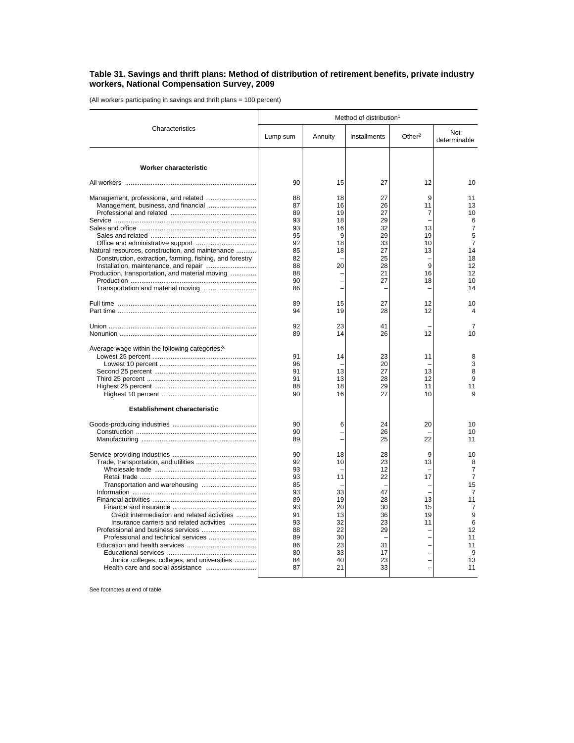## **Table 31. Savings and thrift plans: Method of distribution of retirement benefits, private industry workers, National Compensation Survey, 2009**

(All workers participating in savings and thrift plans = 100 percent)

|                                                                                                                                                                                 | Method of distribution <sup>1</sup>                                                          |                                                                                  |                                                                                  |                                                 |                                                                                                                             |  |
|---------------------------------------------------------------------------------------------------------------------------------------------------------------------------------|----------------------------------------------------------------------------------------------|----------------------------------------------------------------------------------|----------------------------------------------------------------------------------|-------------------------------------------------|-----------------------------------------------------------------------------------------------------------------------------|--|
| Characteristics                                                                                                                                                                 | Lump sum                                                                                     | Annuity                                                                          | Installments                                                                     | Other $2$                                       | Not<br>determinable                                                                                                         |  |
| <b>Worker characteristic</b>                                                                                                                                                    |                                                                                              |                                                                                  |                                                                                  |                                                 |                                                                                                                             |  |
|                                                                                                                                                                                 | 90                                                                                           | 15                                                                               | 27                                                                               | 12                                              | 10                                                                                                                          |  |
| Natural resources, construction, and maintenance<br>Construction, extraction, farming, fishing, and forestry<br>Production, transportation, and material moving                 | 88<br>87<br>89<br>93<br>93<br>95<br>92<br>85<br>82<br>88<br>88                               | 18<br>16<br>19<br>18<br>16<br>9<br>18<br>18<br>20                                | 27<br>26<br>27<br>29<br>32<br>29<br>33<br>27<br>25<br>28<br>21                   | 9<br>11<br>7<br>13<br>19<br>10<br>13<br>9<br>16 | 11<br>13<br>10<br>6<br>$\overline{7}$<br>5<br>$\overline{7}$<br>14<br>18<br>12<br>12                                        |  |
|                                                                                                                                                                                 | 90<br>86                                                                                     |                                                                                  | 27                                                                               | 18<br>L.                                        | 10<br>14                                                                                                                    |  |
|                                                                                                                                                                                 | 89<br>94                                                                                     | 15<br>19                                                                         | 27<br>28                                                                         | 12<br>12                                        | 10<br>4                                                                                                                     |  |
|                                                                                                                                                                                 | 92<br>89                                                                                     | 23<br>14                                                                         | 41<br>26                                                                         | 12                                              | 7<br>10                                                                                                                     |  |
| Average wage within the following categories: <sup>3</sup><br><b>Establishment characteristic</b>                                                                               | 91<br>96<br>91<br>91<br>88<br>90                                                             | 14<br>13<br>13<br>18<br>16                                                       | 23<br>20<br>27<br>28<br>29<br>27                                                 | 11<br>13<br>12<br>11<br>10                      | 8<br>3<br>8<br>9<br>11<br>9                                                                                                 |  |
|                                                                                                                                                                                 | 90<br>90<br>89                                                                               | 6                                                                                | 24<br>26<br>25                                                                   | 20<br>22                                        | 10<br>10<br>11                                                                                                              |  |
| Credit intermediation and related activities<br>Insurance carriers and related activities<br>Professional and technical services<br>Junior colleges, colleges, and universities | 90<br>92<br>93<br>93<br>85<br>93<br>89<br>93<br>91<br>93<br>88<br>89<br>86<br>80<br>84<br>87 | 18<br>10<br>11<br>33<br>19<br>20<br>13<br>32<br>22<br>30<br>23<br>33<br>40<br>21 | 28<br>23<br>12<br>22<br>47<br>28<br>30<br>36<br>23<br>29<br>31<br>17<br>23<br>33 | 9<br>13<br>17<br>13<br>15<br>19<br>11           | 10<br>8<br>$\overline{7}$<br>$\overline{7}$<br>15<br>$\overline{7}$<br>11<br>7<br>9<br>6<br>12<br>11<br>11<br>9<br>13<br>11 |  |

See footnotes at end of table.